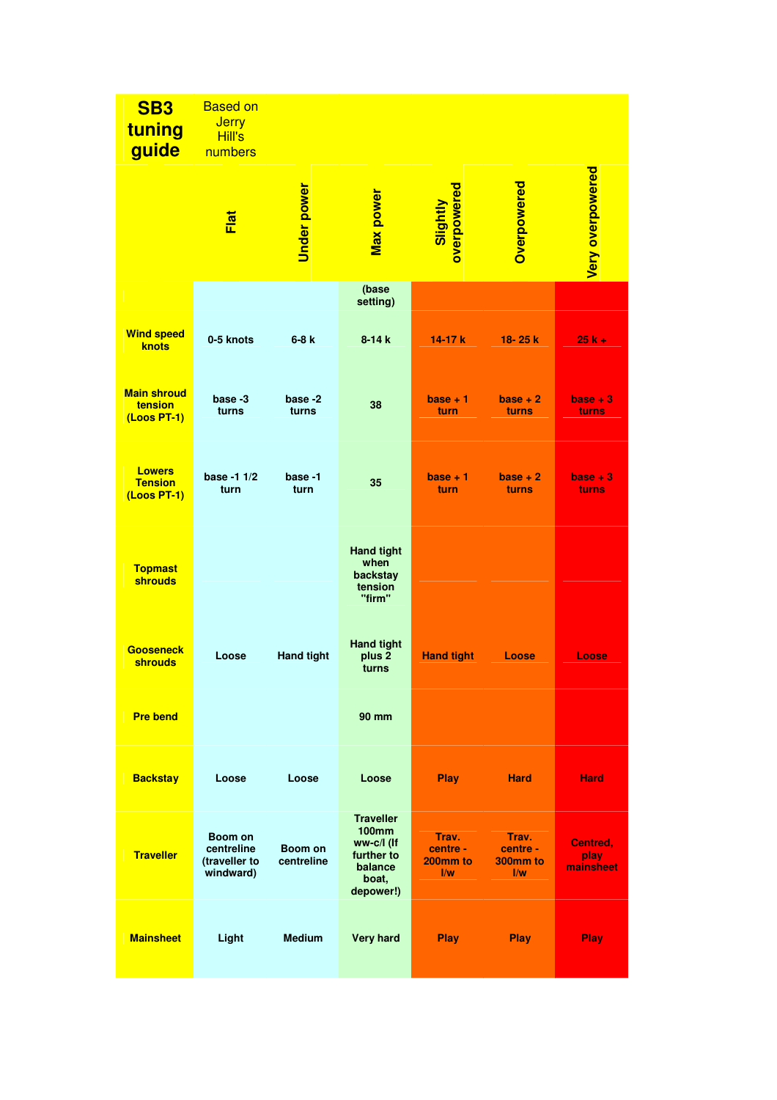| <b>SB3</b><br>tuning<br>guide                     | <b>Based on</b><br><b>Jerry</b><br>Hill's<br>numbers |                       |                                                                                               |                                                                     |                                                          |                               |
|---------------------------------------------------|------------------------------------------------------|-----------------------|-----------------------------------------------------------------------------------------------|---------------------------------------------------------------------|----------------------------------------------------------|-------------------------------|
|                                                   | <u>Flat</u>                                          | Under power           | <b>Max power</b>                                                                              | overpowered<br>Slightly                                             | Overpowered                                              | <b>Very overpowered</b>       |
|                                                   |                                                      |                       | (base<br>setting)                                                                             |                                                                     |                                                          |                               |
| <b>Wind speed</b><br>knots                        | 0-5 knots                                            | $6-8k$                | $8 - 14k$                                                                                     | $14-17k$                                                            | 18-25 k                                                  | $25k +$                       |
| <b>Main shroud</b><br>tension<br>(Loos PT-1)      | base -3<br>turns                                     | base -2<br>turns      | 38                                                                                            | $base + 1$<br>turn                                                  | $base + 2$<br>turns                                      | $base + 3$<br>turns           |
| <b>Lowers</b><br><b>Tension</b><br>$(L$ oos PT-1) | base -1 1/2<br>turn                                  | base -1<br>turn       | 35                                                                                            | $base + 1$<br>turn                                                  | $base + 2$<br>turns                                      | $base + 3$<br>turns           |
| <b>Topmast</b><br><b>shrouds</b>                  |                                                      |                       | <b>Hand tight</b><br>when<br>backstay<br>tension<br>"firm"                                    |                                                                     |                                                          |                               |
| <b>Gooseneck</b><br><b>shrouds</b>                | Loose                                                | <b>Hand tight</b>     | <b>Hand tight</b><br>plus <sub>2</sub><br>turns                                               | <b>Hand tight</b>                                                   | Loose                                                    | Loose                         |
| <b>Pre bend</b>                                   |                                                      |                       | 90 mm                                                                                         |                                                                     |                                                          |                               |
| <b>Backstay</b>                                   | Loose                                                | Loose                 | Loose                                                                                         | Play                                                                | <b>Hard</b>                                              | <b>Hard</b>                   |
| <b>Traveller</b>                                  | Boom on<br>centreline<br>(traveller to<br>windward)  | Boom on<br>centreline | <b>Traveller</b><br><b>100mm</b><br>ww-c/l (If<br>further to<br>balance<br>boat,<br>depower!) | Trav.<br>centre -<br>200mm to<br>$\overline{\mathsf{I}/\mathsf{w}}$ | Trav.<br>centre -<br>300mm to<br>$\mathsf{I}/\mathsf{w}$ | Centred,<br>play<br>mainsheet |
| <b>Mainsheet</b>                                  | Light                                                | <b>Medium</b>         | <b>Very hard</b>                                                                              | <b>Play</b>                                                         | <b>Play</b>                                              | Play                          |